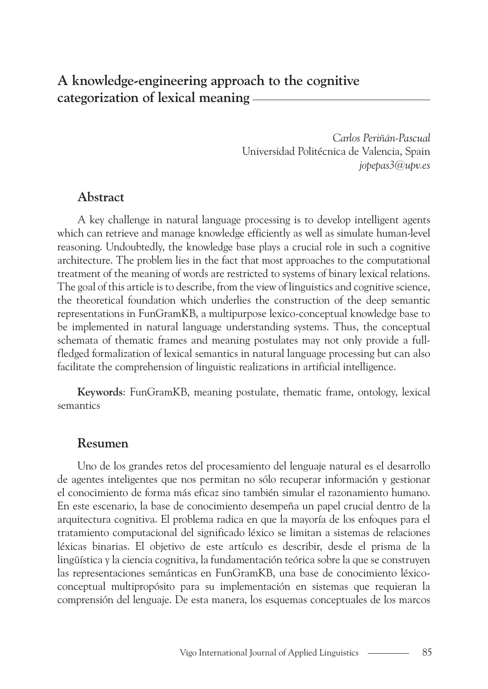# **A knowledge-engineering approach to the cognitive categorization of lexical meaning**

*Carlos Periñán-Pascual* Universidad Politécnica de Valencia, Spain *jopepas3@upv.es*

### **Abstract**

A key challenge in natural language processing is to develop intelligent agents which can retrieve and manage knowledge efficiently as well as simulate human-level reasoning. Undoubtedly, the knowledge base plays a crucial role in such a cognitive architecture. The problem lies in the fact that most approaches to the computational treatment of the meaning of words are restricted to systems of binary lexical relations. The goal of this article is to describe, from the view of linguistics and cognitive science, the theoretical foundation which underlies the construction of the deep semantic representations in FunGramKB, a multipurpose lexico-conceptual knowledge base to be implemented in natural language understanding systems. Thus, the conceptual schemata of thematic frames and meaning postulates may not only provide a fullfledged formalization of lexical semantics in natural language processing but can also facilitate the comprehension of linguistic realizations in artificial intelligence.

**Keywords**: FunGramKB, meaning postulate, thematic frame, ontology, lexical semantics

#### **Resumen**

Uno de los grandes retos del procesamiento del lenguaje natural es el desarrollo de agentes inteligentes que nos permitan no sólo recuperar información y gestionar el conocimiento de forma más eficaz sino también simular el razonamiento humano. En este escenario, la base de conocimiento desempeña un papel crucial dentro de la arquitectura cognitiva. El problema radica en que la mayoría de los enfoques para el tratamiento computacional del significado léxico se limitan a sistemas de relaciones léxicas binarias. El objetivo de este artículo es describir, desde el prisma de la lingüística y la ciencia cognitiva, la fundamentación teórica sobre la que se construyen las representaciones semánticas en FunGramKB, una base de conocimiento léxicoconceptual multipropósito para su implementación en sistemas que requieran la comprensión del lenguaje. De esta manera, los esquemas conceptuales de los marcos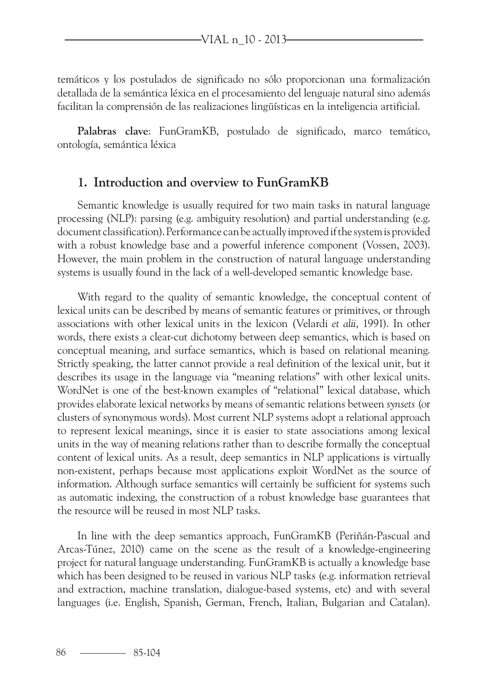temáticos y los postulados de significado no sólo proporcionan una formalización detallada de la semántica léxica en el procesamiento del lenguaje natural sino además facilitan la comprensión de las realizaciones lingüísticas en la inteligencia artificial.

**Palabras clave**: FunGramKB, postulado de significado, marco temático, ontología, semántica léxica

#### **1. Introduction and overview to FunGramKB**

Semantic knowledge is usually required for two main tasks in natural language processing (NLP): parsing (e.g. ambiguity resolution) and partial understanding (e.g. document classification). Performance can be actually improved if the system is provided with a robust knowledge base and a powerful inference component (Vossen, 2003). However, the main problem in the construction of natural language understanding systems is usually found in the lack of a well-developed semantic knowledge base.

With regard to the quality of semantic knowledge, the conceptual content of lexical units can be described by means of semantic features or primitives, or through associations with other lexical units in the lexicon (Velardi *et alii*, 1991). In other words, there exists a clear-cut dichotomy between deep semantics, which is based on conceptual meaning, and surface semantics, which is based on relational meaning. Strictly speaking, the latter cannot provide a real definition of the lexical unit, but it describes its usage in the language via "meaning relations" with other lexical units. WordNet is one of the best-known examples of "relational" lexical database, which provides elaborate lexical networks by means of semantic relations between *synsets* (or clusters of synonymous words). Most current NLP systems adopt a relational approach to represent lexical meanings, since it is easier to state associations among lexical units in the way of meaning relations rather than to describe formally the conceptual content of lexical units. As a result, deep semantics in NLP applications is virtually non-existent, perhaps because most applications exploit WordNet as the source of information. Although surface semantics will certainly be sufficient for systems such as automatic indexing, the construction of a robust knowledge base guarantees that the resource will be reused in most NLP tasks.

In line with the deep semantics approach, FunGramKB (Periñán-Pascual and Arcas-Túnez, 2010) came on the scene as the result of a knowledge-engineering project for natural language understanding. FunGramKB is actually a knowledge base which has been designed to be reused in various NLP tasks (e.g. information retrieval and extraction, machine translation, dialogue-based systems, etc) and with several languages (i.e. English, Spanish, German, French, Italian, Bulgarian and Catalan).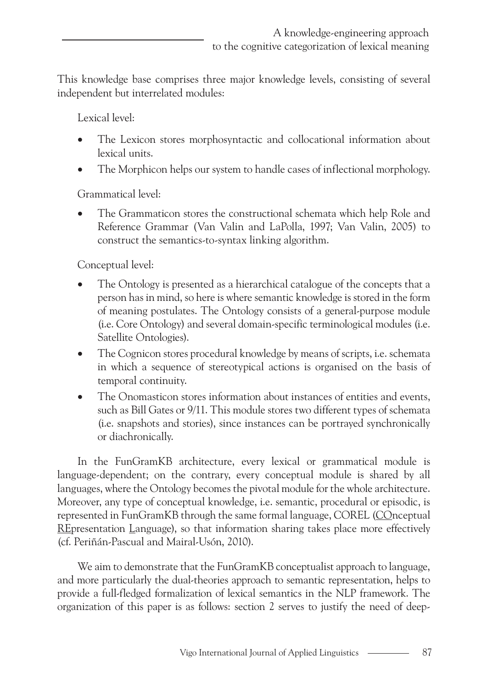This knowledge base comprises three major knowledge levels, consisting of several independent but interrelated modules:

Lexical level:

- The Lexicon stores morphosyntactic and collocational information about lexical units.
- The Morphicon helps our system to handle cases of inflectional morphology.

Grammatical level:

The Grammaticon stores the constructional schemata which help Role and Reference Grammar (Van Valin and LaPolla, 1997; Van Valin, 2005) to construct the semantics-to-syntax linking algorithm.

Conceptual level:

- The Ontology is presented as a hierarchical catalogue of the concepts that a person has in mind, so here is where semantic knowledge is stored in the form of meaning postulates. The Ontology consists of a general-purpose module (i.e. Core Ontology) and several domain-specific terminological modules (i.e. Satellite Ontologies).
- The Cognicon stores procedural knowledge by means of scripts, i.e. schemata in which a sequence of stereotypical actions is organised on the basis of temporal continuity.
- The Onomasticon stores information about instances of entities and events, such as Bill Gates or 9/11. This module stores two different types of schemata (i.e. snapshots and stories), since instances can be portrayed synchronically or diachronically.

In the FunGramKB architecture, every lexical or grammatical module is language-dependent; on the contrary, every conceptual module is shared by all languages, where the Ontology becomes the pivotal module for the whole architecture. Moreover, any type of conceptual knowledge, i.e. semantic, procedural or episodic, is represented in FunGramKB through the same formal language, COREL (COnceptual REpresentation Language), so that information sharing takes place more effectively (cf. Periñán-Pascual and Mairal-Usón, 2010).

We aim to demonstrate that the FunGramKB conceptualist approach to language, and more particularly the dual-theories approach to semantic representation, helps to provide a full-fledged formalization of lexical semantics in the NLP framework. The organization of this paper is as follows: section 2 serves to justify the need of deep-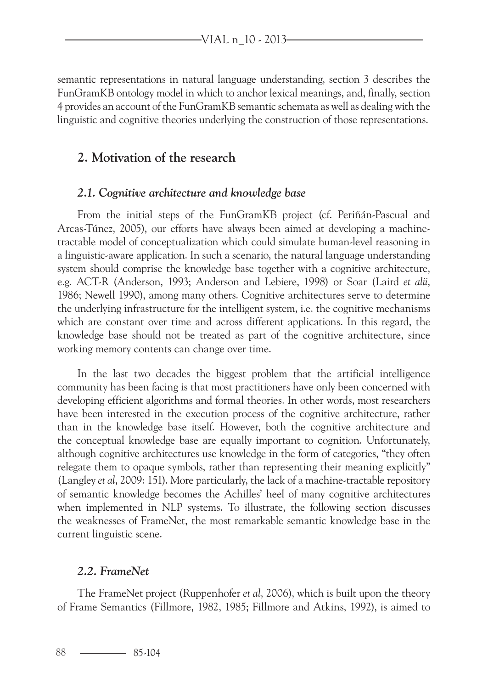semantic representations in natural language understanding, section 3 describes the FunGramKB ontology model in which to anchor lexical meanings, and, finally, section 4 provides an account of the FunGramKB semantic schemata as well as dealing with the linguistic and cognitive theories underlying the construction of those representations.

### **2. Motivation of the research**

#### *2.1. Cognitive architecture and knowledge base*

From the initial steps of the FunGramKB project (cf. Periñán-Pascual and Arcas-Túnez, 2005), our efforts have always been aimed at developing a machinetractable model of conceptualization which could simulate human-level reasoning in a linguistic-aware application. In such a scenario, the natural language understanding system should comprise the knowledge base together with a cognitive architecture, e.g. ACT-R (Anderson, 1993; Anderson and Lebiere, 1998) or Soar (Laird *et alii*, 1986; Newell 1990), among many others. Cognitive architectures serve to determine the underlying infrastructure for the intelligent system, i.e. the cognitive mechanisms which are constant over time and across different applications. In this regard, the knowledge base should not be treated as part of the cognitive architecture, since working memory contents can change over time.

In the last two decades the biggest problem that the artificial intelligence community has been facing is that most practitioners have only been concerned with developing efficient algorithms and formal theories. In other words, most researchers have been interested in the execution process of the cognitive architecture, rather than in the knowledge base itself. However, both the cognitive architecture and the conceptual knowledge base are equally important to cognition. Unfortunately, although cognitive architectures use knowledge in the form of categories, "they often relegate them to opaque symbols, rather than representing their meaning explicitly" (Langley *et al*, 2009: 151). More particularly, the lack of a machine-tractable repository of semantic knowledge becomes the Achilles' heel of many cognitive architectures when implemented in NLP systems. To illustrate, the following section discusses the weaknesses of FrameNet, the most remarkable semantic knowledge base in the current linguistic scene.

#### *2.2. FrameNet*

The FrameNet project (Ruppenhofer *et al*, 2006), which is built upon the theory of Frame Semantics (Fillmore, 1982, 1985; Fillmore and Atkins, 1992), is aimed to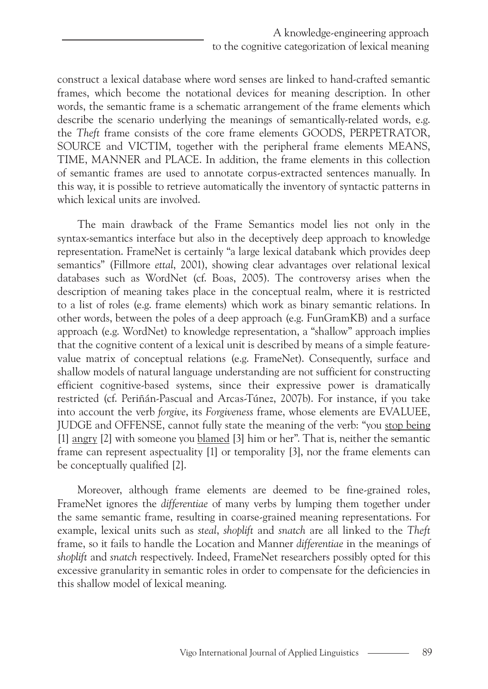construct a lexical database where word senses are linked to hand-crafted semantic frames, which become the notational devices for meaning description. In other words, the semantic frame is a schematic arrangement of the frame elements which describe the scenario underlying the meanings of semantically-related words, e.g. the *Theft* frame consists of the core frame elements GOODS, PERPETRATOR, SOURCE and VICTIM, together with the peripheral frame elements MEANS, TIME, MANNER and PLACE. In addition, the frame elements in this collection of semantic frames are used to annotate corpus-extracted sentences manually. In this way, it is possible to retrieve automatically the inventory of syntactic patterns in which lexical units are involved.

The main drawback of the Frame Semantics model lies not only in the syntax-semantics interface but also in the deceptively deep approach to knowledge representation. FrameNet is certainly "a large lexical databank which provides deep semantics" (Fillmore *ettal*, 2001), showing clear advantages over relational lexical databases such as WordNet (cf. Boas, 2005). The controversy arises when the description of meaning takes place in the conceptual realm, where it is restricted to a list of roles (e.g. frame elements) which work as binary semantic relations. In other words, between the poles of a deep approach (e.g. FunGramKB) and a surface approach (e.g. WordNet) to knowledge representation, a "shallow" approach implies that the cognitive content of a lexical unit is described by means of a simple featurevalue matrix of conceptual relations (e.g. FrameNet). Consequently, surface and shallow models of natural language understanding are not sufficient for constructing efficient cognitive-based systems, since their expressive power is dramatically restricted (cf. Periñán-Pascual and Arcas-Túnez, 2007b). For instance, if you take into account the verb *forgive*, its *Forgiveness* frame, whose elements are EVALUEE, JUDGE and OFFENSE, cannot fully state the meaning of the verb: "you stop being [1] angry [2] with someone you blamed [3] him or her". That is, neither the semantic frame can represent aspectuality [1] or temporality [3], nor the frame elements can be conceptually qualified [2].

Moreover, although frame elements are deemed to be fine-grained roles, FrameNet ignores the *differentiae* of many verbs by lumping them together under the same semantic frame, resulting in coarse-grained meaning representations. For example, lexical units such as *steal*, *shoplift* and *snatch* are all linked to the *Theft* frame, so it fails to handle the Location and Manner *differentiae* in the meanings of *shoplift* and *snatch* respectively. Indeed, FrameNet researchers possibly opted for this excessive granularity in semantic roles in order to compensate for the deficiencies in this shallow model of lexical meaning.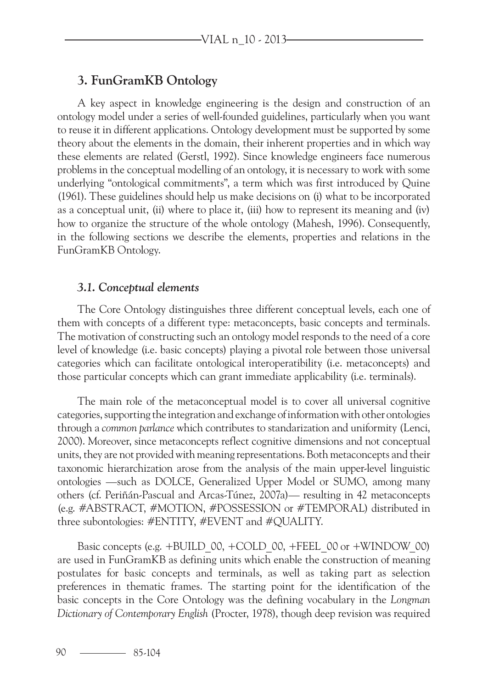### **3. FunGramKB Ontology**

A key aspect in knowledge engineering is the design and construction of an ontology model under a series of well-founded guidelines, particularly when you want to reuse it in different applications. Ontology development must be supported by some theory about the elements in the domain, their inherent properties and in which way these elements are related (Gerstl, 1992). Since knowledge engineers face numerous problems in the conceptual modelling of an ontology, it is necessary to work with some underlying "ontological commitments", a term which was first introduced by Quine (1961). These guidelines should help us make decisions on (i) what to be incorporated as a conceptual unit, (ii) where to place it, (iii) how to represent its meaning and (iv) how to organize the structure of the whole ontology (Mahesh, 1996). Consequently, in the following sections we describe the elements, properties and relations in the FunGramKB Ontology.

#### *3.1. Conceptual elements*

The Core Ontology distinguishes three different conceptual levels, each one of them with concepts of a different type: metaconcepts, basic concepts and terminals. The motivation of constructing such an ontology model responds to the need of a core level of knowledge (i.e. basic concepts) playing a pivotal role between those universal categories which can facilitate ontological interoperatibility (i.e. metaconcepts) and those particular concepts which can grant immediate applicability (i.e. terminals).

The main role of the metaconceptual model is to cover all universal cognitive categories, supporting the integration and exchange of information with other ontologies through a *common parlance* which contributes to standarization and uniformity (Lenci, 2000). Moreover, since metaconcepts reflect cognitive dimensions and not conceptual units, they are not provided with meaning representations. Both metaconcepts and their taxonomic hierarchization arose from the analysis of the main upper-level linguistic ontologies —such as DOLCE, Generalized Upper Model or SUMO, among many others (cf. Periñán-Pascual and Arcas-Túnez, 2007a)— resulting in 42 metaconcepts (e.g. #ABSTRACT, #MOTION, #POSSESSION or #TEMPORAL) distributed in three subontologies: #ENTITY, #EVENT and #QUALITY.

Basic concepts (e.g. +BUILD\_00, +COLD\_00, +FEEL\_00 or +WINDOW\_00) are used in FunGramKB as defining units which enable the construction of meaning postulates for basic concepts and terminals, as well as taking part as selection preferences in thematic frames. The starting point for the identification of the basic concepts in the Core Ontology was the defining vocabulary in the *Longman Dictionary of Contemporary English* (Procter, 1978), though deep revision was required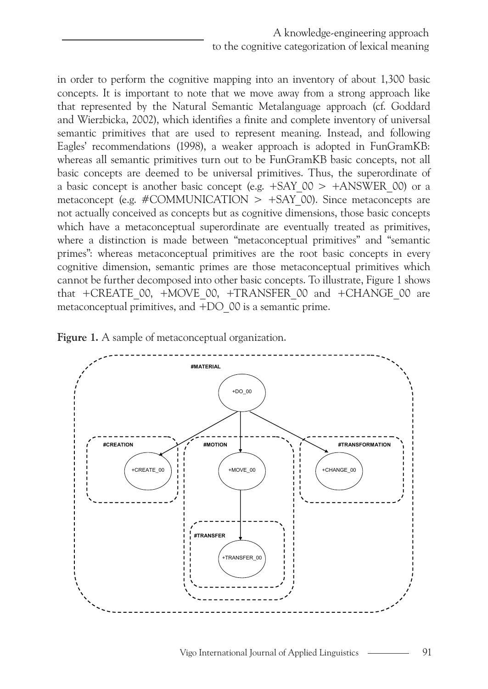in order to perform the cognitive mapping into an inventory of about 1,300 basic concepts. It is important to note that we move away from a strong approach like that represented by the Natural Semantic Metalanguage approach (cf. Goddard and Wierzbicka, 2002), which identifies a finite and complete inventory of universal semantic primitives that are used to represent meaning. Instead, and following Eagles' recommendations (1998), a weaker approach is adopted in FunGramKB: whereas all semantic primitives turn out to be FunGramKB basic concepts, not all basic concepts are deemed to be universal primitives. Thus, the superordinate of a basic concept is another basic concept (e.g.  $+SAY$  00  $> +ANSWER$  00) or a metaconcept (e.g. #COMMUNICATION  $> +SAY$  00). Since metaconcepts are not actually conceived as concepts but as cognitive dimensions, those basic concepts which have a metaconceptual superordinate are eventually treated as primitives, where a distinction is made between "metaconceptual primitives" and "semantic primes": whereas metaconceptual primitives are the root basic concepts in every cognitive dimension, semantic primes are those metaconceptual primitives which cannot be further decomposed into other basic concepts. To illustrate, Figure 1 shows that +CREATE\_00, +MOVE\_00, +TRANSFER\_00 and +CHANGE\_00 are metaconceptual primitives, and +DO\_00 is a semantic prime.



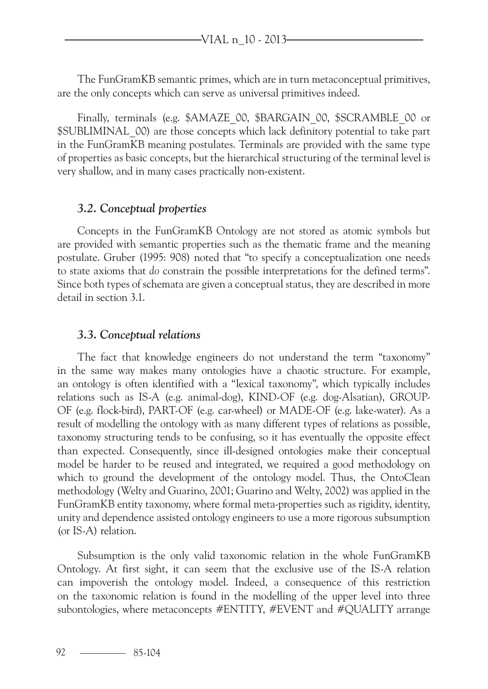The FunGramKB semantic primes, which are in turn metaconceptual primitives, are the only concepts which can serve as universal primitives indeed.

Finally, terminals (e.g. \$AMAZE\_00, \$BARGAIN\_00, \$SCRAMBLE\_00 or \$SUBLIMINAL\_00) are those concepts which lack definitory potential to take part in the FunGramKB meaning postulates. Terminals are provided with the same type of properties as basic concepts, but the hierarchical structuring of the terminal level is very shallow, and in many cases practically non-existent.

#### *3.2. Conceptual properties*

Concepts in the FunGramKB Ontology are not stored as atomic symbols but are provided with semantic properties such as the thematic frame and the meaning postulate. Gruber (1995: 908) noted that "to specify a conceptualization one needs to state axioms that *do* constrain the possible interpretations for the defined terms". Since both types of schemata are given a conceptual status, they are described in more detail in section 3.1.

#### *3.3. Conceptual relations*

The fact that knowledge engineers do not understand the term "taxonomy" in the same way makes many ontologies have a chaotic structure. For example, an ontology is often identified with a "lexical taxonomy", which typically includes relations such as IS-A (e.g. animal-dog), KIND-OF (e.g. dog-Alsatian), GROUP-OF (e.g. flock-bird), PART-OF (e.g. car-wheel) or MADE-OF (e.g. lake-water). As a result of modelling the ontology with as many different types of relations as possible, taxonomy structuring tends to be confusing, so it has eventually the opposite effect than expected. Consequently, since ill-designed ontologies make their conceptual model be harder to be reused and integrated, we required a good methodology on which to ground the development of the ontology model. Thus, the OntoClean methodology (Welty and Guarino, 2001; Guarino and Welty, 2002) was applied in the FunGramKB entity taxonomy, where formal meta-properties such as rigidity, identity, unity and dependence assisted ontology engineers to use a more rigorous subsumption (or IS-A) relation.

Subsumption is the only valid taxonomic relation in the whole FunGramKB Ontology. At first sight, it can seem that the exclusive use of the IS-A relation can impoverish the ontology model. Indeed, a consequence of this restriction on the taxonomic relation is found in the modelling of the upper level into three subontologies, where metaconcepts #ENTITY, #EVENT and #QUALITY arrange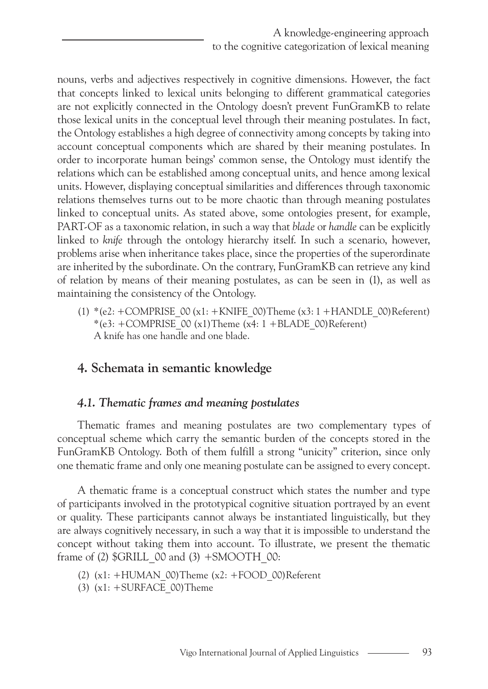nouns, verbs and adjectives respectively in cognitive dimensions. However, the fact that concepts linked to lexical units belonging to different grammatical categories are not explicitly connected in the Ontology doesn't prevent FunGramKB to relate those lexical units in the conceptual level through their meaning postulates. In fact, the Ontology establishes a high degree of connectivity among concepts by taking into account conceptual components which are shared by their meaning postulates. In order to incorporate human beings' common sense, the Ontology must identify the relations which can be established among conceptual units, and hence among lexical units. However, displaying conceptual similarities and differences through taxonomic relations themselves turns out to be more chaotic than through meaning postulates linked to conceptual units. As stated above, some ontologies present, for example, PART-OF as a taxonomic relation, in such a way that *blade* or *handle* can be explicitly linked to *knife* through the ontology hierarchy itself. In such a scenario, however, problems arise when inheritance takes place, since the properties of the superordinate are inherited by the subordinate. On the contrary, FunGramKB can retrieve any kind of relation by means of their meaning postulates, as can be seen in (1), as well as maintaining the consistency of the Ontology.

(1) \*(e2: +COMPRISE\_00 (x1: +KNIFE\_00)Theme (x3: 1 +HANDLE\_00)Referent) \*(e3:  $+$ COMPRISE<sup>\_</sup>00 (x1)Theme (x4: 1 +BLADE\_00)Referent) A knife has one handle and one blade.

## **4. Schemata in semantic knowledge**

### *4.1. Thematic frames and meaning postulates*

Thematic frames and meaning postulates are two complementary types of conceptual scheme which carry the semantic burden of the concepts stored in the FunGramKB Ontology. Both of them fulfill a strong "unicity" criterion, since only one thematic frame and only one meaning postulate can be assigned to every concept.

A thematic frame is a conceptual construct which states the number and type of participants involved in the prototypical cognitive situation portrayed by an event or quality. These participants cannot always be instantiated linguistically, but they are always cognitively necessary, in such a way that it is impossible to understand the concept without taking them into account. To illustrate, we present the thematic frame of  $(2)$  \$GRILL 00 and  $(3)$  +SMOOTH 00:

- (2)  $(x1: +HUMAN$  00)Theme  $(x2: +FOOD$  00)Referent
- (3)  $(x1: + \text{ SURFACE } 00)$ Theme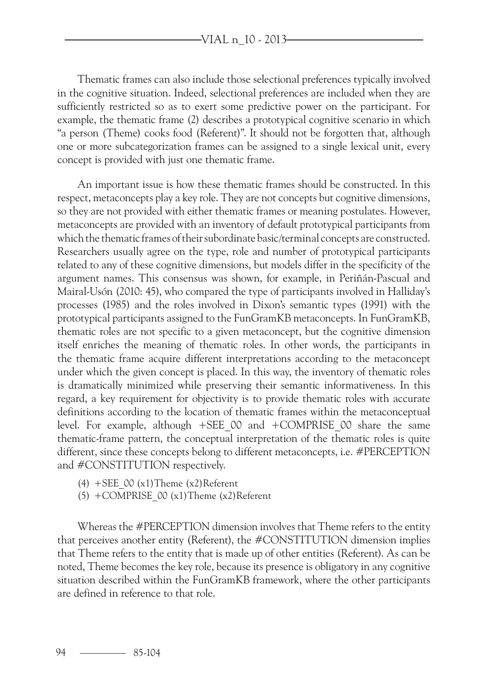Thematic frames can also include those selectional preferences typically involved in the cognitive situation. Indeed, selectional preferences are included when they are sufficiently restricted so as to exert some predictive power on the participant. For example, the thematic frame (2) describes a prototypical cognitive scenario in which "a person (Theme) cooks food (Referent)". It should not be forgotten that, although one or more subcategorization frames can be assigned to a single lexical unit, every concept is provided with just one thematic frame.

An important issue is how these thematic frames should be constructed. In this respect, metaconcepts play a key role. They are not concepts but cognitive dimensions, so they are not provided with either thematic frames or meaning postulates. However, metaconcepts are provided with an inventory of default prototypical participants from which the thematic frames of their subordinate basic/terminal concepts are constructed. Researchers usually agree on the type, role and number of prototypical participants related to any of these cognitive dimensions, but models differ in the specificity of the argument names. This consensus was shown, for example, in Periñán-Pascual and Mairal-Usón (2010: 45), who compared the type of participants involved in Halliday's processes (1985) and the roles involved in Dixon's semantic types (1991) with the prototypical participants assigned to the FunGramKB metaconcepts. In FunGramKB, thematic roles are not specific to a given metaconcept, but the cognitive dimension itself enriches the meaning of thematic roles. In other words, the participants in the thematic frame acquire different interpretations according to the metaconcept under which the given concept is placed. In this way, the inventory of thematic roles is dramatically minimized while preserving their semantic informativeness. In this regard, a key requirement for objectivity is to provide thematic roles with accurate definitions according to the location of thematic frames within the metaconceptual level. For example, although +SEE\_00 and +COMPRISE\_00 share the same thematic-frame pattern, the conceptual interpretation of the thematic roles is quite different, since these concepts belong to different metaconcepts, i.e. #PERCEPTION and #CONSTITUTION respectively.

- (4) +SEE  $00 (x1)$ Theme  $(x2)$ Referent
- $(5)$  +COMPRISE 00 (x1)Theme (x2)Referent

Whereas the #PERCEPTION dimension involves that Theme refers to the entity that perceives another entity (Referent), the #CONSTITUTION dimension implies that Theme refers to the entity that is made up of other entities (Referent). As can be noted, Theme becomes the key role, because its presence is obligatory in any cognitive situation described within the FunGramKB framework, where the other participants are defined in reference to that role.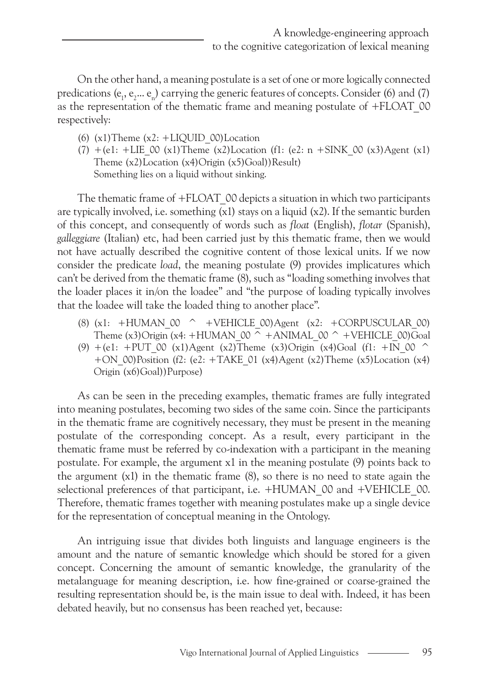On the other hand, a meaning postulate is a set of one or more logically connected predications ( $e_1, e_2 ... e_n$ ) carrying the generic features of concepts. Consider (6) and (7) as the representation of the thematic frame and meaning postulate of +FLOAT\_00 respectively:

- (6)  $(x1)$ Theme  $(x2: +LIOUID 00)Location$
- $(7)$  +(e1: +LIE 00 (x1)Theme (x2)Location (f1: (e2: n +SINK 00 (x3)Agent (x1) Theme  $(x2)$ Location  $(x4)$ Origin  $(x5)$ Goal))Result) Something lies on a liquid without sinking.

The thematic frame of +FLOAT 00 depicts a situation in which two participants are typically involved, i.e. something  $(x1)$  stays on a liquid  $(x2)$ . If the semantic burden of this concept, and consequently of words such as *float* (English), *flotar* (Spanish), *galleggiare* (Italian) etc, had been carried just by this thematic frame, then we would not have actually described the cognitive content of those lexical units. If we now consider the predicate *load*, the meaning postulate (9) provides implicatures which can't be derived from the thematic frame (8), such as "loading something involves that the loader places it in/on the loadee" and "the purpose of loading typically involves that the loadee will take the loaded thing to another place".

- (8)  $(x1: +HUMAN 00 ^ +VEHICLE 00)Agent (x2: +CORPUSCULAR 00)$ Theme (x3)Origin (x4: +HUMAN\_00  $\overline{\wedge}$  +ANIMAL\_00  $\wedge$  +VEHICLE\_00)Goal
- (9)  $+(e1: +PUT)$  00 (x1)Agent (x2)Theme (x3)Origin (x4)Goal (f1: +IN 00 ^ +ON\_00)Position (f2: (e2: +TAKE\_01 (x4)Agent (x2)Theme (x5)Location (x4) Origin (x6)Goal))Purpose)

As can be seen in the preceding examples, thematic frames are fully integrated into meaning postulates, becoming two sides of the same coin. Since the participants in the thematic frame are cognitively necessary, they must be present in the meaning postulate of the corresponding concept. As a result, every participant in the thematic frame must be referred by co-indexation with a participant in the meaning postulate. For example, the argument x1 in the meaning postulate (9) points back to the argument (x1) in the thematic frame (8), so there is no need to state again the selectional preferences of that participant, i.e.  $+HUMAN$  00 and  $+VEHICLE$  00. Therefore, thematic frames together with meaning postulates make up a single device for the representation of conceptual meaning in the Ontology.

An intriguing issue that divides both linguists and language engineers is the amount and the nature of semantic knowledge which should be stored for a given concept. Concerning the amount of semantic knowledge, the granularity of the metalanguage for meaning description, i.e. how fine-grained or coarse-grained the resulting representation should be, is the main issue to deal with. Indeed, it has been debated heavily, but no consensus has been reached yet, because: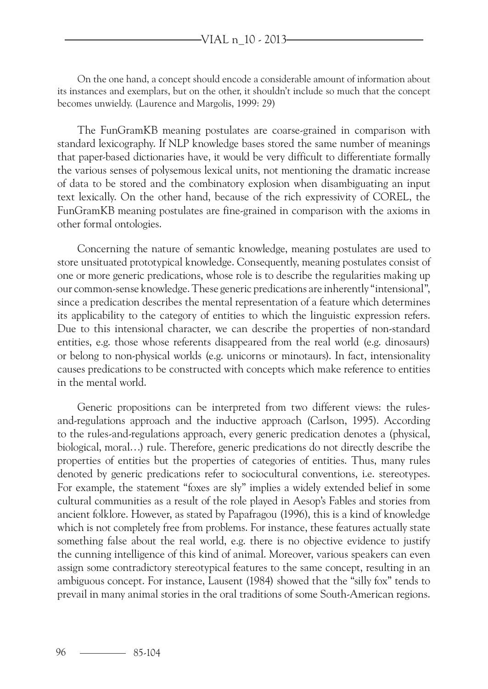On the one hand, a concept should encode a considerable amount of information about its instances and exemplars, but on the other, it shouldn't include so much that the concept becomes unwieldy. (Laurence and Margolis, 1999: 29)

The FunGramKB meaning postulates are coarse-grained in comparison with standard lexicography. If NLP knowledge bases stored the same number of meanings that paper-based dictionaries have, it would be very difficult to differentiate formally the various senses of polysemous lexical units, not mentioning the dramatic increase of data to be stored and the combinatory explosion when disambiguating an input text lexically. On the other hand, because of the rich expressivity of COREL, the FunGramKB meaning postulates are fine-grained in comparison with the axioms in other formal ontologies.

Concerning the nature of semantic knowledge, meaning postulates are used to store unsituated prototypical knowledge. Consequently, meaning postulates consist of one or more generic predications, whose role is to describe the regularities making up our common-sense knowledge. These generic predications are inherently "intensional", since a predication describes the mental representation of a feature which determines its applicability to the category of entities to which the linguistic expression refers. Due to this intensional character, we can describe the properties of non-standard entities, e.g. those whose referents disappeared from the real world (e.g. dinosaurs) or belong to non-physical worlds (e.g. unicorns or minotaurs). In fact, intensionality causes predications to be constructed with concepts which make reference to entities in the mental world.

Generic propositions can be interpreted from two different views: the rulesand-regulations approach and the inductive approach (Carlson, 1995). According to the rules-and-regulations approach, every generic predication denotes a (physical, biological, moral…) rule. Therefore, generic predications do not directly describe the properties of entities but the properties of categories of entities. Thus, many rules denoted by generic predications refer to sociocultural conventions, i.e. stereotypes. For example, the statement "foxes are sly" implies a widely extended belief in some cultural communities as a result of the role played in Aesop's Fables and stories from ancient folklore. However, as stated by Papafragou (1996), this is a kind of knowledge which is not completely free from problems. For instance, these features actually state something false about the real world, e.g. there is no objective evidence to justify the cunning intelligence of this kind of animal. Moreover, various speakers can even assign some contradictory stereotypical features to the same concept, resulting in an ambiguous concept. For instance, Lausent (1984) showed that the "silly fox" tends to prevail in many animal stories in the oral traditions of some South-American regions.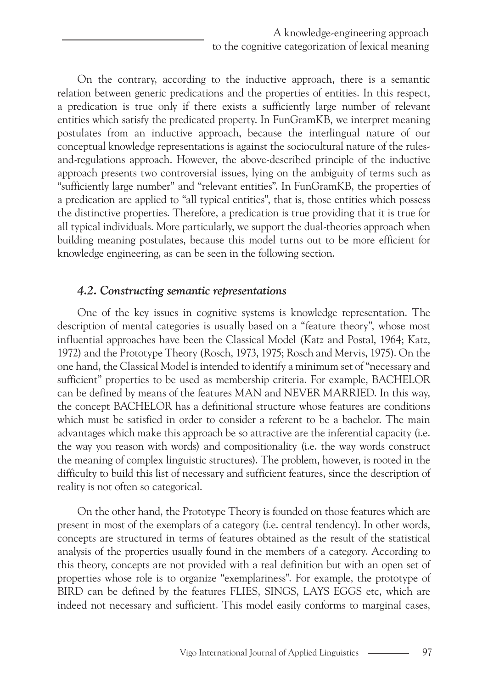On the contrary, according to the inductive approach, there is a semantic relation between generic predications and the properties of entities. In this respect, a predication is true only if there exists a sufficiently large number of relevant entities which satisfy the predicated property. In FunGramKB, we interpret meaning postulates from an inductive approach, because the interlingual nature of our conceptual knowledge representations is against the sociocultural nature of the rulesand-regulations approach. However, the above-described principle of the inductive approach presents two controversial issues, lying on the ambiguity of terms such as "sufficiently large number" and "relevant entities". In FunGramKB, the properties of a predication are applied to "all typical entities", that is, those entities which possess the distinctive properties. Therefore, a predication is true providing that it is true for all typical individuals. More particularly, we support the dual-theories approach when building meaning postulates, because this model turns out to be more efficient for knowledge engineering, as can be seen in the following section.

#### *4.2. Constructing semantic representations*

One of the key issues in cognitive systems is knowledge representation. The description of mental categories is usually based on a "feature theory", whose most influential approaches have been the Classical Model (Katz and Postal, 1964; Katz, 1972) and the Prototype Theory (Rosch, 1973, 1975; Rosch and Mervis, 1975). On the one hand, the Classical Model is intended to identify a minimum set of "necessary and sufficient" properties to be used as membership criteria. For example, BACHELOR can be defined by means of the features MAN and NEVER MARRIED. In this way, the concept BACHELOR has a definitional structure whose features are conditions which must be satisfied in order to consider a referent to be a bachelor. The main advantages which make this approach be so attractive are the inferential capacity (i.e. the way you reason with words) and compositionality (i.e. the way words construct the meaning of complex linguistic structures). The problem, however, is rooted in the difficulty to build this list of necessary and sufficient features, since the description of reality is not often so categorical.

On the other hand, the Prototype Theory is founded on those features which are present in most of the exemplars of a category (i.e. central tendency). In other words, concepts are structured in terms of features obtained as the result of the statistical analysis of the properties usually found in the members of a category. According to this theory, concepts are not provided with a real definition but with an open set of properties whose role is to organize "exemplariness". For example, the prototype of BIRD can be defined by the features FLIES, SINGS, LAYS EGGS etc, which are indeed not necessary and sufficient. This model easily conforms to marginal cases,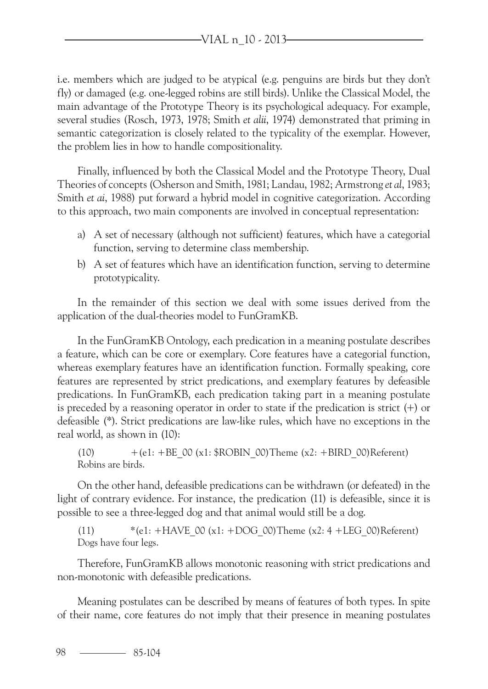i.e. members which are judged to be atypical (e.g. penguins are birds but they don't fly) or damaged (e.g. one-legged robins are still birds). Unlike the Classical Model, the main advantage of the Prototype Theory is its psychological adequacy. For example, several studies (Rosch, 1973, 1978; Smith *et alii*, 1974) demonstrated that priming in semantic categorization is closely related to the typicality of the exemplar. However, the problem lies in how to handle compositionality.

Finally, influenced by both the Classical Model and the Prototype Theory, Dual Theories of concepts (Osherson and Smith, 1981; Landau, 1982; Armstrong *et al*, 1983; Smith *et ai*, 1988) put forward a hybrid model in cognitive categorization. According to this approach, two main components are involved in conceptual representation:

- a) A set of necessary (although not sufficient) features, which have a categorial function, serving to determine class membership.
- b) A set of features which have an identification function, serving to determine prototypicality.

In the remainder of this section we deal with some issues derived from the application of the dual-theories model to FunGramKB.

In the FunGramKB Ontology, each predication in a meaning postulate describes a feature, which can be core or exemplary. Core features have a categorial function, whereas exemplary features have an identification function. Formally speaking, core features are represented by strict predications, and exemplary features by defeasible predications. In FunGramKB, each predication taking part in a meaning postulate is preceded by a reasoning operator in order to state if the predication is strict  $(+)$  or defeasible (\*). Strict predications are law-like rules, which have no exceptions in the real world, as shown in (10):

(10)  $+(e1: +BE O0 (x1: $ROBIN O0)$ Theme  $(x2: +BIRD O0)$ Referent) Robins are birds.

On the other hand, defeasible predications can be withdrawn (or defeated) in the light of contrary evidence. For instance, the predication (11) is defeasible, since it is possible to see a three-legged dog and that animal would still be a dog.

(11)  $*(e1: +HAVE \ 00 (x1: +DOG \ 00)Then (x2: 4 + LEG \ 00)Referent)$ Dogs have four legs.

Therefore, FunGramKB allows monotonic reasoning with strict predications and non-monotonic with defeasible predications.

Meaning postulates can be described by means of features of both types. In spite of their name, core features do not imply that their presence in meaning postulates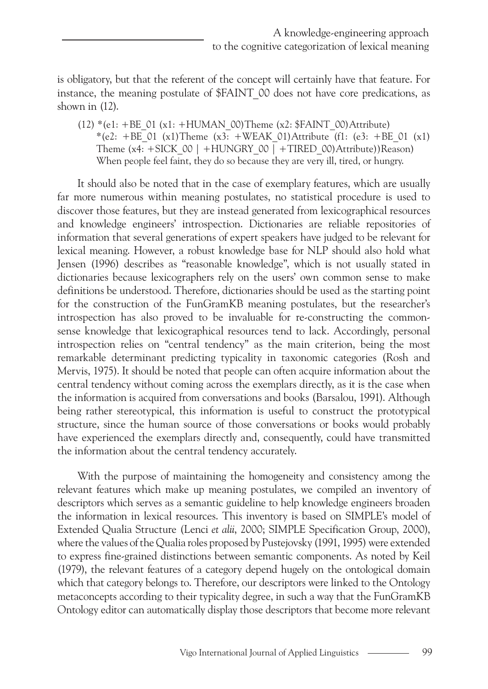is obligatory, but that the referent of the concept will certainly have that feature. For instance, the meaning postulate of \$FAINT 00 does not have core predications, as shown in (12).

(12)  $*(e1: +BE O1(x1: +HUMAN O0)$ Theme (x2:  $FAINT O0)$ Attribute) \*(e2: +BE\_01 (x1)Theme (x3: +WEAK\_01)Attribute (f1: (e3: +BE\_01 (x1) Theme  $(x4: +SICK 00 | +HUNGRY 00 | +TIRED 00)$ Attribute))Reason) When people feel faint, they do so because they are very ill, tired, or hungry.

It should also be noted that in the case of exemplary features, which are usually far more numerous within meaning postulates, no statistical procedure is used to discover those features, but they are instead generated from lexicographical resources and knowledge engineers' introspection. Dictionaries are reliable repositories of information that several generations of expert speakers have judged to be relevant for lexical meaning. However, a robust knowledge base for NLP should also hold what Jensen (1996) describes as "reasonable knowledge", which is not usually stated in dictionaries because lexicographers rely on the users' own common sense to make definitions be understood. Therefore, dictionaries should be used as the starting point for the construction of the FunGramKB meaning postulates, but the researcher's introspection has also proved to be invaluable for re-constructing the commonsense knowledge that lexicographical resources tend to lack. Accordingly, personal introspection relies on "central tendency" as the main criterion, being the most remarkable determinant predicting typicality in taxonomic categories (Rosh and Mervis, 1975). It should be noted that people can often acquire information about the central tendency without coming across the exemplars directly, as it is the case when the information is acquired from conversations and books (Barsalou, 1991). Although being rather stereotypical, this information is useful to construct the prototypical structure, since the human source of those conversations or books would probably have experienced the exemplars directly and, consequently, could have transmitted the information about the central tendency accurately.

With the purpose of maintaining the homogeneity and consistency among the relevant features which make up meaning postulates, we compiled an inventory of descriptors which serves as a semantic guideline to help knowledge engineers broaden the information in lexical resources. This inventory is based on SIMPLE's model of Extended Qualia Structure (Lenci *et alii*, 2000; SIMPLE Specification Group, 2000), where the values of the Qualia roles proposed by Pustejovsky (1991, 1995) were extended to express fine-grained distinctions between semantic components. As noted by Keil (1979), the relevant features of a category depend hugely on the ontological domain which that category belongs to. Therefore, our descriptors were linked to the Ontology metaconcepts according to their typicality degree, in such a way that the FunGramKB Ontology editor can automatically display those descriptors that become more relevant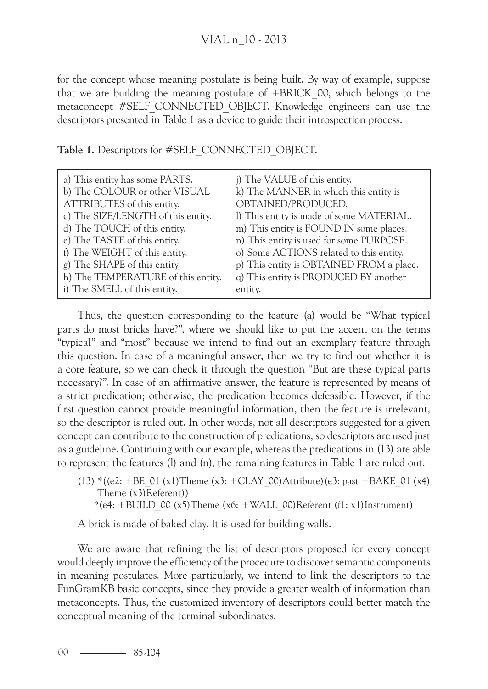for the concept whose meaning postulate is being built. By way of example, suppose that we are building the meaning postulate of +BRICK\_00, which belongs to the metaconcept #SELF CONNECTED OBJECT. Knowledge engineers can use the descriptors presented in Table 1 as a device to guide their introspection process.

**Table 1.** Descriptors for #SELF\_CONNECTED\_OBJECT.

| a) This entity has some PARTS.<br>b) The COLOUR or other VISUAL | j) The VALUE of this entity.<br>k) The MANNER in which this entity is |
|-----------------------------------------------------------------|-----------------------------------------------------------------------|
| ATTRIBUTES of this entity.                                      | OBTAINED/PRODUCED.                                                    |
| c) The SIZE/LENGTH of this entity.                              | l) This entity is made of some MATERIAL.                              |
| d) The TOUCH of this entity.                                    | m) This entity is FOUND IN some places.                               |
| e) The TASTE of this entity.                                    | n) This entity is used for some PURPOSE.                              |
| f) The WEIGHT of this entity.                                   | o) Some ACTIONS related to this entity.                               |
| g) The SHAPE of this entity.                                    | p) This entity is OBTAINED FROM a place.                              |
| h) The TEMPERATURE of this entity.                              | q) This entity is PRODUCED BY another                                 |
| i) The SMELL of this entity.                                    | entity.                                                               |

Thus, the question corresponding to the feature (a) would be "What typical parts do most bricks have?", where we should like to put the accent on the terms "typical" and "most" because we intend to find out an exemplary feature through this question. In case of a meaningful answer, then we try to find out whether it is a core feature, so we can check it through the question "But are these typical parts necessary?". In case of an affirmative answer, the feature is represented by means of a strict predication; otherwise, the predication becomes defeasible. However, if the first question cannot provide meaningful information, then the feature is irrelevant, so the descriptor is ruled out. In other words, not all descriptors suggested for a given concept can contribute to the construction of predications, so descriptors are used just as a guideline. Continuing with our example, whereas the predications in (13) are able to represent the features (l) and (n), the remaining features in Table 1 are ruled out.

(13) \*((e2: +BE\_01 (x1)Theme (x3: +CLAY\_00)Attribute)(e3: past +BAKE\_01 (x4) Theme (x3)Referent))

 $*(e4: + BULD 00 (x5)$ Theme  $(x6: + WALL 00)$ Referent  $(f1: x1)$ Instrument)

A brick is made of baked clay. It is used for building walls.

We are aware that refining the list of descriptors proposed for every concept would deeply improve the efficiency of the procedure to discover semantic components in meaning postulates. More particularly, we intend to link the descriptors to the FunGramKB basic concepts, since they provide a greater wealth of information than metaconcepts. Thus, the customized inventory of descriptors could better match the conceptual meaning of the terminal subordinates.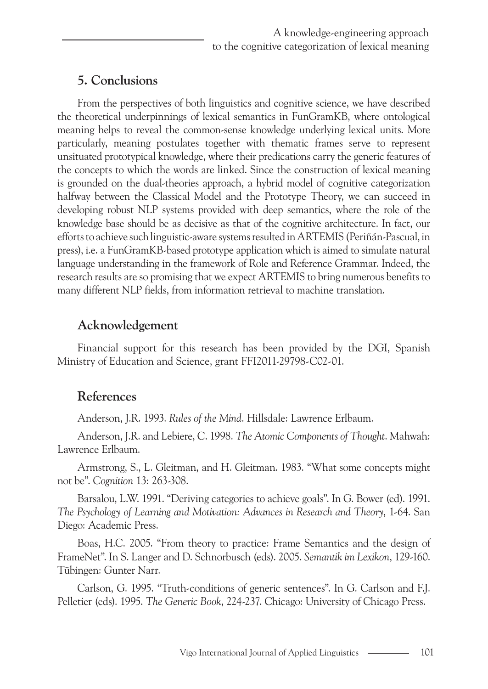## **5. Conclusions**

From the perspectives of both linguistics and cognitive science, we have described the theoretical underpinnings of lexical semantics in FunGramKB, where ontological meaning helps to reveal the common-sense knowledge underlying lexical units. More particularly, meaning postulates together with thematic frames serve to represent unsituated prototypical knowledge, where their predications carry the generic features of the concepts to which the words are linked. Since the construction of lexical meaning is grounded on the dual-theories approach, a hybrid model of cognitive categorization halfway between the Classical Model and the Prototype Theory, we can succeed in developing robust NLP systems provided with deep semantics, where the role of the knowledge base should be as decisive as that of the cognitive architecture. In fact, our efforts to achieve such linguistic-aware systems resulted in ARTEMIS (Periñán-Pascual, in press), i.e. a FunGramKB-based prototype application which is aimed to simulate natural language understanding in the framework of Role and Reference Grammar. Indeed, the research results are so promising that we expect ARTEMIS to bring numerous benefits to many different NLP fields, from information retrieval to machine translation.

## **Acknowledgement**

Financial support for this research has been provided by the DGI, Spanish Ministry of Education and Science, grant FFI2011-29798-C02-01.

## **References**

Anderson, J.R. 1993. *Rules of the Mind*. Hillsdale: Lawrence Erlbaum.

Anderson, J.R. and Lebiere, C. 1998. *The Atomic Components of Thought*. Mahwah: Lawrence Erlbaum.

Armstrong, S., L. Gleitman, and H. Gleitman. 1983. "What some concepts might not be". *Cognition* 13: 263-308.

Barsalou, L.W. 1991. "Deriving categories to achieve goals". In G. Bower (ed). 1991. *The Psychology of Learning and Motivation: Advances in Research and Theory*, 1-64. San Diego: Academic Press.

Boas, H.C. 2005. "From theory to practice: Frame Semantics and the design of FrameNet". In S. Langer and D. Schnorbusch (eds). 2005. *Semantik im Lexikon*, 129-160. Tübingen: Gunter Narr.

Carlson, G. 1995. "Truth-conditions of generic sentences". In G. Carlson and F.J. Pelletier (eds). 1995. *The Generic Book*, 224-237. Chicago: University of Chicago Press.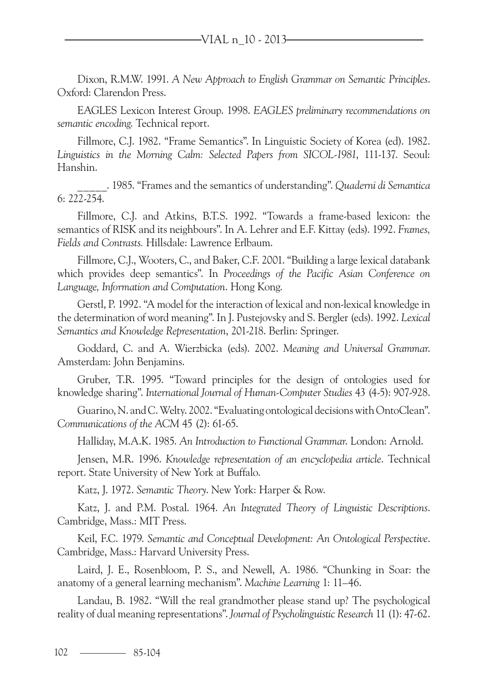Dixon, R.M.W. 1991. *A New Approach to English Grammar on Semantic Principles*. Oxford: Clarendon Press.

EAGLES Lexicon Interest Group. 1998. *EAGLES preliminary recommendations on semantic encoding*. Technical report.

Fillmore, C.J. 1982. "Frame Semantics". In Linguistic Society of Korea (ed). 1982. *Linguistics in the Morning Calm: Selected Papers from SICOL-1981*, 111-137. Seoul: Hanshin.

\_\_\_\_\_. 1985. "Frames and the semantics of understanding". *Quaderni di Semantica* 6: 222-254.

Fillmore, C.J. and Atkins, B.T.S. 1992. "Towards a frame-based lexicon: the semantics of RISK and its neighbours". In A. Lehrer and E.F. Kittay (eds). 1992. *Frames, Fields and Contrasts.* Hillsdale: Lawrence Erlbaum.

Fillmore, C.J., Wooters, C., and Baker, C.F. 2001. "Building a large lexical databank which provides deep semantics". In *Proceedings of the Pacific Asian Conference on Language, Information and Computation*. Hong Kong.

Gerstl, P. 1992. "A model for the interaction of lexical and non-lexical knowledge in the determination of word meaning". In J. Pustejovsky and S. Bergler (eds). 1992. *Lexical Semantics and Knowledge Representation*, 201-218. Berlin: Springer.

Goddard, C. and A. Wierzbicka (eds). 2002. *Meaning and Universal Grammar*. Amsterdam: John Benjamins.

Gruber, T.R. 1995. "Toward principles for the design of ontologies used for knowledge sharing". *International Journal of Human-Computer Studies* 43 (4-5): 907-928.

Guarino, N. and C. Welty. 2002. "Evaluating ontological decisions with OntoClean". *Communications of the ACM* 45 (2): 61-65.

Halliday, M.A.K. 1985. *An Introduction to Functional Grammar*. London: Arnold.

Jensen, M.R. 1996. *Knowledge representation of an encyclopedia article*. Technical report. State University of New York at Buffalo.

Katz, J. 1972. *Semantic Theory*. New York: Harper & Row.

Katz, J. and P.M. Postal. 1964. *An Integrated Theory of Linguistic Descriptions*. Cambridge, Mass.: MIT Press.

Keil, F.C. 1979. *Semantic and Conceptual Development: An Ontological Perspective*. Cambridge, Mass.: Harvard University Press.

Laird, J. E., Rosenbloom, P. S., and Newell, A. 1986. "Chunking in Soar: the anatomy of a general learning mechanism". *Machine Learning* 1: 11–46.

Landau, B. 1982. "Will the real grandmother please stand up? The psychological reality of dual meaning representations". *Journal of Psycholinguistic Research* 11 (1): 47-62.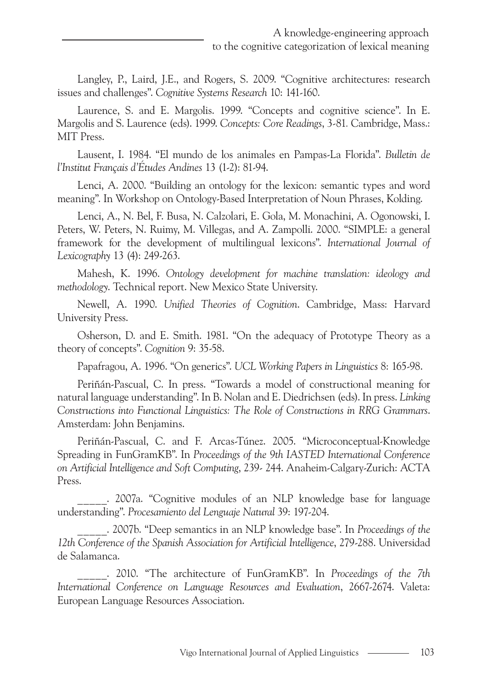Langley, P., Laird, J.E., and Rogers, S. 2009. "Cognitive architectures: research issues and challenges". *Cognitive Systems Research* 10: 141-160.

Laurence, S. and E. Margolis. 1999. "Concepts and cognitive science". In E. Margolis and S. Laurence (eds). 1999. *Concepts: Core Readings*, 3-81*.* Cambridge, Mass.: MIT Press.

Lausent, I. 1984. "El mundo de los animales en Pampas-La Florida". *Bulletin de l'Institut Français d'Études Andines* 13 (1-2): 81-94.

Lenci, A. 2000. "Building an ontology for the lexicon: semantic types and word meaning". In Workshop on Ontology-Based Interpretation of Noun Phrases, Kolding.

Lenci, A., N. Bel, F. Busa, N. Calzolari, E. Gola, M. Monachini, A. Ogonowski, I. Peters, W. Peters, N. Ruimy, M. Villegas, and A. Zampolli. 2000. "SIMPLE: a general framework for the development of multilingual lexicons". *International Journal of Lexicography* 13 (4): 249-263.

Mahesh, K. 1996. *Ontology development for machine translation: ideology and methodology*. Technical report. New Mexico State University.

Newell, A. 1990. *Unified Theories of Cognition*. Cambridge, Mass: Harvard University Press.

Osherson, D. and E. Smith. 1981. "On the adequacy of Prototype Theory as a theory of concepts". *Cognition* 9: 35-58.

Papafragou, A. 1996. "On generics". *UCL Working Papers in Linguistics* 8: 165-98.

Periñán-Pascual, C. In press. "Towards a model of constructional meaning for natural language understanding". In B. Nolan and E. Diedrichsen (eds). In press. *Linking Constructions into Functional Linguistics: The Role of Constructions in RRG Grammars*. Amsterdam: John Benjamins.

Periñán-Pascual, C. and F. Arcas-Túnez. 2005. "Microconceptual-Knowledge Spreading in FunGramKB". In *Proceedings of the 9th IASTED International Conference on Artificial Intelligence and Soft Computing*, 239- 244. Anaheim-Calgary-Zurich: ACTA Press.

\_\_\_\_\_. 2007a. "Cognitive modules of an NLP knowledge base for language understanding". *Procesamiento del Lenguaje Natural* 39: 197-204.

\_\_\_\_\_. 2007b. "Deep semantics in an NLP knowledge base". In *Proceedings of the 12th Conference of the Spanish Association for Artificial Intelligence*, 279-288. Universidad de Salamanca.

\_\_\_\_\_. 2010. "The architecture of FunGramKB". In *Proceedings of the 7th International Conference on Language Resources and Evaluation*, 2667-2674. Valeta: European Language Resources Association.